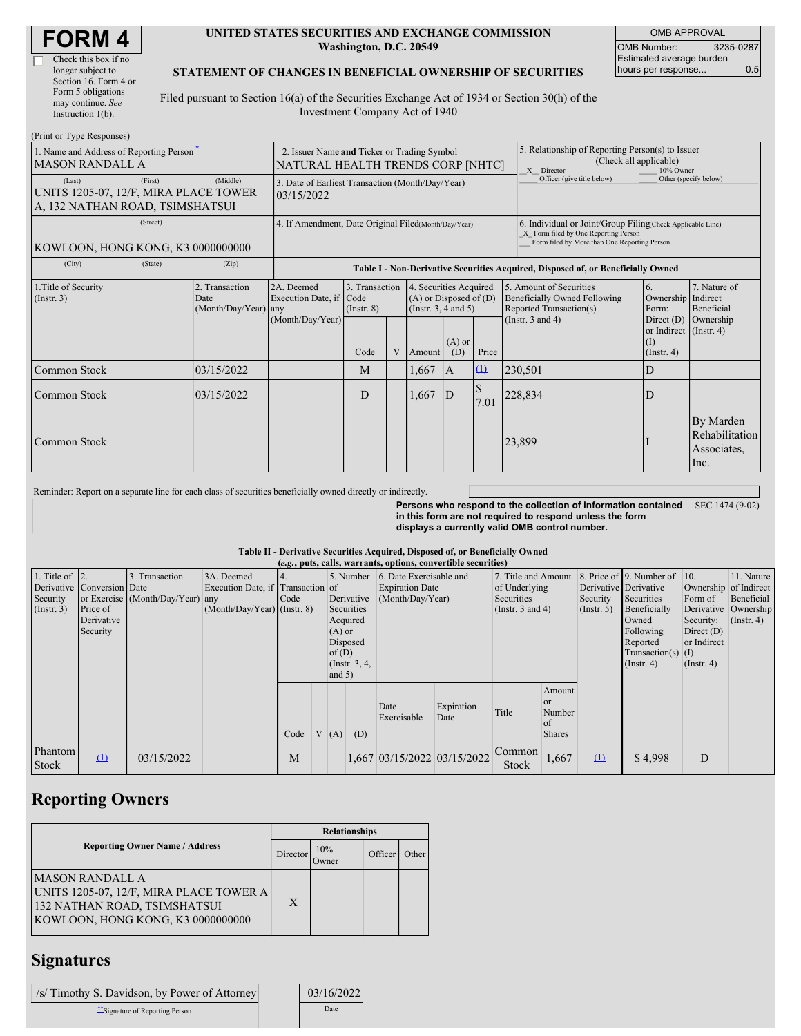#### **UNITED STATES SECURITIES AND EXCHANGE COMMISSION Washington, D.C. 20549**

OMB APPROVAL OMB Number: 3235-0287 Estimated average burden hours per response... 0.5

### **STATEMENT OF CHANGES IN BENEFICIAL OWNERSHIP OF SECURITIES**

Filed pursuant to Section 16(a) of the Securities Exchange Act of 1934 or Section 30(h) of the Investment Company Act of 1940

| (Print or Type Responses)                                                                     |                                                                                  |                                            |                                                                  |                                           |                                                                                                                    |                            |                       |                                                                                                                                                    |                                                                                               |                                                     |                                                    |
|-----------------------------------------------------------------------------------------------|----------------------------------------------------------------------------------|--------------------------------------------|------------------------------------------------------------------|-------------------------------------------|--------------------------------------------------------------------------------------------------------------------|----------------------------|-----------------------|----------------------------------------------------------------------------------------------------------------------------------------------------|-----------------------------------------------------------------------------------------------|-----------------------------------------------------|----------------------------------------------------|
| 1. Name and Address of Reporting Person-<br><b>MASON RANDALL A</b>                            | 2. Issuer Name and Ticker or Trading Symbol<br>NATURAL HEALTH TRENDS CORP [NHTC] |                                            |                                                                  |                                           |                                                                                                                    |                            | X Director            | 5. Relationship of Reporting Person(s) to Issuer<br>(Check all applicable)<br>10% Owner                                                            |                                                                                               |                                                     |                                                    |
| (Last)<br>(First)<br>UNITS 1205-07, 12/F, MIRA PLACE TOWER<br>A, 132 NATHAN ROAD, TSIMSHATSUI | 3. Date of Earliest Transaction (Month/Day/Year)<br>03/15/2022                   |                                            |                                                                  |                                           |                                                                                                                    | Officer (give title below) |                       | Other (specify below)                                                                                                                              |                                                                                               |                                                     |                                                    |
| (Street)<br>KOWLOON, HONG KONG, K3 0000000000                                                 |                                                                                  |                                            | 4. If Amendment, Date Original Filed(Month/Day/Year)             |                                           |                                                                                                                    |                            |                       | 6. Individual or Joint/Group Filing(Check Applicable Line)<br>X Form filed by One Reporting Person<br>Form filed by More than One Reporting Person |                                                                                               |                                                     |                                                    |
| (City)                                                                                        | (State)<br>(Zip)                                                                 |                                            |                                                                  |                                           |                                                                                                                    |                            |                       | Table I - Non-Derivative Securities Acquired, Disposed of, or Beneficially Owned                                                                   |                                                                                               |                                                     |                                                    |
| 1. Title of Security<br>(Insert. 3)                                                           |                                                                                  | 2. Transaction<br>Date<br>(Month/Day/Year) | 2A. Deemed<br>Execution Date, if Code<br>any<br>(Month/Day/Year) | 3. Transaction<br>$($ Instr. $8)$<br>Code | 4. Securities Acquired<br>$(A)$ or Disposed of $(D)$<br>(Instr. $3, 4$ and $5$ )<br>$(A)$ or<br>V<br>(D)<br>Amount |                            | Price                 | 5. Amount of Securities<br>Beneficially Owned Following<br>Reported Transaction(s)<br>(Instr. $3$ and $4$ )                                        | 6.<br>Ownership<br>Form:<br>Direct $(D)$<br>or Indirect (Instr. 4)<br>(I)<br>$($ Instr. 4 $)$ | 7. Nature of<br>Indirect<br>Beneficial<br>Ownership |                                                    |
| Common Stock                                                                                  |                                                                                  | 03/15/2022                                 |                                                                  | M                                         |                                                                                                                    | 1,667                      | $\mathbf{A}$          | $\Omega$                                                                                                                                           | 230,501                                                                                       | D                                                   |                                                    |
| Common Stock<br>03/15/2022                                                                    |                                                                                  |                                            | D                                                                |                                           | 1,667                                                                                                              | D                          | <sup>\$</sup><br>7.01 | 228,834                                                                                                                                            | D                                                                                             |                                                     |                                                    |
| <b>Common Stock</b>                                                                           |                                                                                  |                                            |                                                                  |                                           |                                                                                                                    |                            |                       |                                                                                                                                                    | 23,899                                                                                        |                                                     | By Marden<br>Rehabilitation<br>Associates,<br>Inc. |

Reminder: Report on a separate line for each class of securities beneficially owned directly or indirectly.

**Persons who respond to the collection of information contained in this form are not required to respond unless the form displays a currently valid OMB control number.** SEC 1474 (9-02)

#### **Table II - Derivative Securities Acquired, Disposed of, or Beneficially Owned**

| (e.g., puts, calls, warrants, options, convertible securities) |                                                                  |                                                       |                                                                                  |            |  |                               |                                                                                   |                                                                       |                    |                                                                             |                                                      |                                                       |                                                                                                                                          |                                                                                             |                                                                           |
|----------------------------------------------------------------|------------------------------------------------------------------|-------------------------------------------------------|----------------------------------------------------------------------------------|------------|--|-------------------------------|-----------------------------------------------------------------------------------|-----------------------------------------------------------------------|--------------------|-----------------------------------------------------------------------------|------------------------------------------------------|-------------------------------------------------------|------------------------------------------------------------------------------------------------------------------------------------------|---------------------------------------------------------------------------------------------|---------------------------------------------------------------------------|
| 1. Title of $\vert$ 2.<br>Security<br>(Insert. 3)              | Derivative Conversion Date<br>Price of<br>Derivative<br>Security | Transaction<br>3.<br>or Exercise (Month/Day/Year) any | 3A. Deemed<br>Execution Date, if Transaction of<br>$(Month/Day/Year)$ (Instr. 8) | 4.<br>Code |  | $(A)$ or<br>of(D)<br>and $5)$ | 5. Number<br>Derivative<br>Securities<br>Acquired<br>Disposed<br>$($ Instr. 3, 4, | 6. Date Exercisable and<br><b>Expiration Date</b><br>(Month/Day/Year) |                    | 7. Title and Amount<br>of Underlying<br>Securities<br>(Instr. $3$ and $4$ ) |                                                      | Derivative Derivative<br>Security<br>$($ Instr. 5 $)$ | 8. Price of 9. Number of 10.<br>Securities<br>Beneficially<br>Owned<br>Following<br>Reported<br>Transaction(s) $(I)$<br>$($ Instr. 4 $)$ | Form of<br>Security: $(\text{Instr. 4})$<br>Direct $(D)$<br>or Indirect<br>$($ Instr. 4 $)$ | 11. Nature<br>Ownership of Indirect<br>Beneficial<br>Derivative Ownership |
|                                                                |                                                                  |                                                       |                                                                                  | Code       |  | V(A)                          | (D)                                                                               | Date<br>Exercisable                                                   | Expiration<br>Date | Title                                                                       | Amount<br><b>or</b><br>Number<br>of<br><b>Shares</b> |                                                       |                                                                                                                                          |                                                                                             |                                                                           |
| Phantom<br>Stock                                               | $\Omega$                                                         | 03/15/2022                                            |                                                                                  | M          |  |                               |                                                                                   | 1,667 03/15/2022 03/15/2022                                           |                    | Common<br>Stock                                                             | 1,667                                                | $\Omega$                                              | \$4,998                                                                                                                                  | D                                                                                           |                                                                           |

# **Reporting Owners**

|                                                                                                                                  | <b>Relationships</b> |              |         |       |  |  |  |
|----------------------------------------------------------------------------------------------------------------------------------|----------------------|--------------|---------|-------|--|--|--|
| <b>Reporting Owner Name / Address</b>                                                                                            |                      | 10%<br>Owner | Officer | Other |  |  |  |
| IMASON RANDALL A<br>UNITS 1205-07, 12/F, MIRA PLACE TOWER A<br>132 NATHAN ROAD, TSIMSHATSUI<br>KOWLOON, HONG KONG, K3 0000000000 | X                    |              |         |       |  |  |  |

### **Signatures**

| <i>S</i> / Timothy S. Davidson, by Power of Attorney | 03/16/2022 |
|------------------------------------------------------|------------|
| "Signature of Reporting Person                       | Date       |